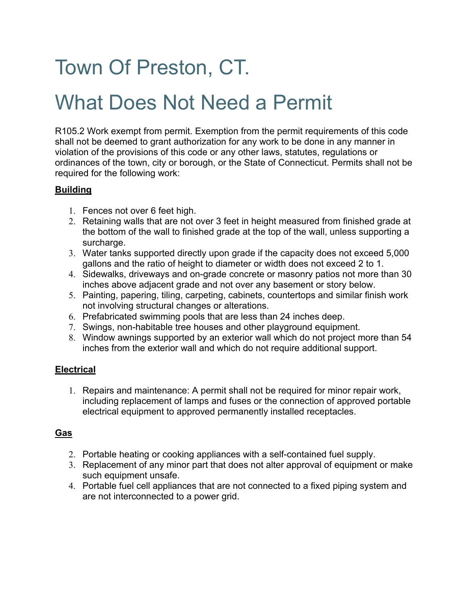# Town Of Preston, CT.

## What Does Not Need a Permit

R105.2 Work exempt from permit. Exemption from the permit requirements of this code shall not be deemed to grant authorization for any work to be done in any manner in violation of the provisions of this code or any other laws, statutes, regulations or ordinances of the town, city or borough, or the State of Connecticut. Permits shall not be required for the following work:

#### **Building**

- 1. Fences not over 6 feet high.
- 2. Retaining walls that are not over 3 feet in height measured from finished grade at the bottom of the wall to finished grade at the top of the wall, unless supporting a surcharge.
- 3. Water tanks supported directly upon grade if the capacity does not exceed 5,000 gallons and the ratio of height to diameter or width does not exceed 2 to 1.
- 4. Sidewalks, driveways and on-grade concrete or masonry patios not more than 30 inches above adjacent grade and not over any basement or story below.
- 5. Painting, papering, tiling, carpeting, cabinets, countertops and similar finish work not involving structural changes or alterations.
- 6. Prefabricated swimming pools that are less than 24 inches deep.
- 7. Swings, non-habitable tree houses and other playground equipment.
- 8. Window awnings supported by an exterior wall which do not project more than 54 inches from the exterior wall and which do not require additional support.

### **Electrical**

1. Repairs and maintenance: A permit shall not be required for minor repair work, including replacement of lamps and fuses or the connection of approved portable electrical equipment to approved permanently installed receptacles.

## **Gas**

- 2. Portable heating or cooking appliances with a self-contained fuel supply.
- 3. Replacement of any minor part that does not alter approval of equipment or make such equipment unsafe.
- 4. Portable fuel cell appliances that are not connected to a fixed piping system and are not interconnected to a power grid.